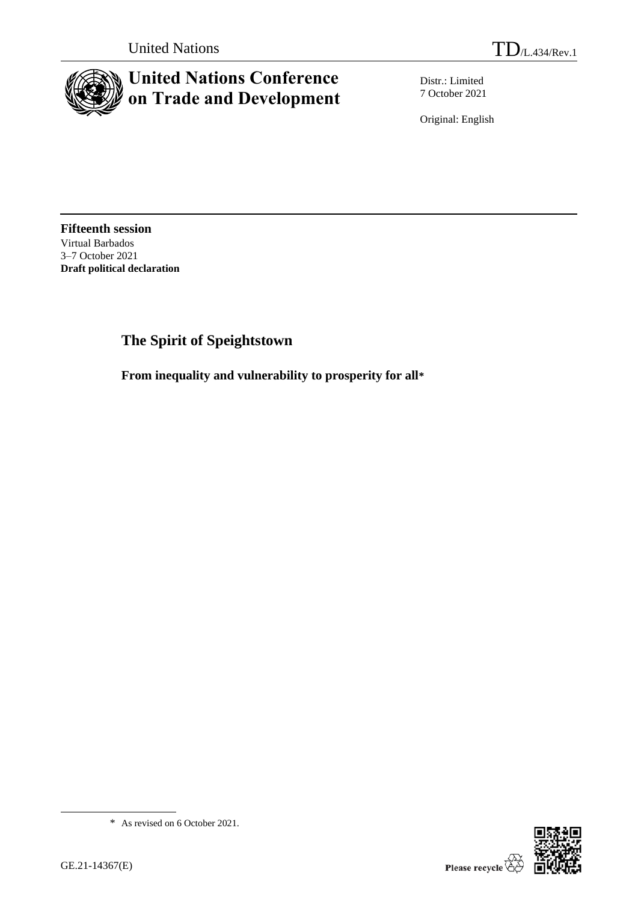

# **United Nations Conference on Trade and Development**

Distr.: Limited 7 October 2021

Original: English

**Fifteenth session** Virtual Barbados 3–7 October 2021 **Draft political declaration**

## **The Spirit of Speightstown**

**From inequality and vulnerability to prosperity for all\***

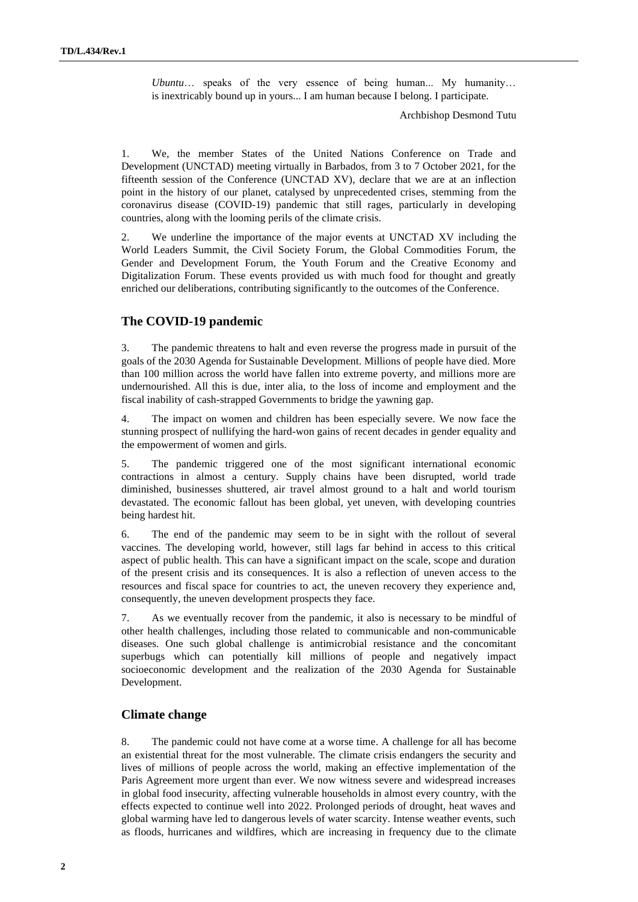*Ubuntu*… speaks of the very essence of being human... My humanity… is inextricably bound up in yours... I am human because I belong. I participate.

Archbishop Desmond Tutu

1. We, the member States of the United Nations Conference on Trade and Development (UNCTAD) meeting virtually in Barbados, from 3 to 7 October 2021, for the fifteenth session of the Conference (UNCTAD XV), declare that we are at an inflection point in the history of our planet, catalysed by unprecedented crises, stemming from the coronavirus disease (COVID-19) pandemic that still rages, particularly in developing countries, along with the looming perils of the climate crisis.

2. We underline the importance of the major events at UNCTAD XV including the World Leaders Summit, the Civil Society Forum, the Global Commodities Forum, the Gender and Development Forum, the Youth Forum and the Creative Economy and Digitalization Forum. These events provided us with much food for thought and greatly enriched our deliberations, contributing significantly to the outcomes of the Conference.

## **The COVID-19 pandemic**

3. The pandemic threatens to halt and even reverse the progress made in pursuit of the goals of the 2030 Agenda for Sustainable Development. Millions of people have died. More than 100 million across the world have fallen into extreme poverty, and millions more are undernourished. All this is due, inter alia, to the loss of income and employment and the fiscal inability of cash-strapped Governments to bridge the yawning gap.

4. The impact on women and children has been especially severe. We now face the stunning prospect of nullifying the hard-won gains of recent decades in gender equality and the empowerment of women and girls.

5. The pandemic triggered one of the most significant international economic contractions in almost a century. Supply chains have been disrupted, world trade diminished, businesses shuttered, air travel almost ground to a halt and world tourism devastated. The economic fallout has been global, yet uneven, with developing countries being hardest hit.

6. The end of the pandemic may seem to be in sight with the rollout of several vaccines. The developing world, however, still lags far behind in access to this critical aspect of public health. This can have a significant impact on the scale, scope and duration of the present crisis and its consequences. It is also a reflection of uneven access to the resources and fiscal space for countries to act, the uneven recovery they experience and, consequently, the uneven development prospects they face.

7. As we eventually recover from the pandemic, it also is necessary to be mindful of other health challenges, including those related to communicable and non-communicable diseases. One such global challenge is antimicrobial resistance and the concomitant superbugs which can potentially kill millions of people and negatively impact socioeconomic development and the realization of the 2030 Agenda for Sustainable Development.

## **Climate change**

8. The pandemic could not have come at a worse time. A challenge for all has become an existential threat for the most vulnerable. The climate crisis endangers the security and lives of millions of people across the world, making an effective implementation of the Paris Agreement more urgent than ever. We now witness severe and widespread increases in global food insecurity, affecting vulnerable households in almost every country, with the effects expected to continue well into 2022. Prolonged periods of drought, heat waves and global warming have led to dangerous levels of water scarcity. Intense weather events, such as floods, hurricanes and wildfires, which are increasing in frequency due to the climate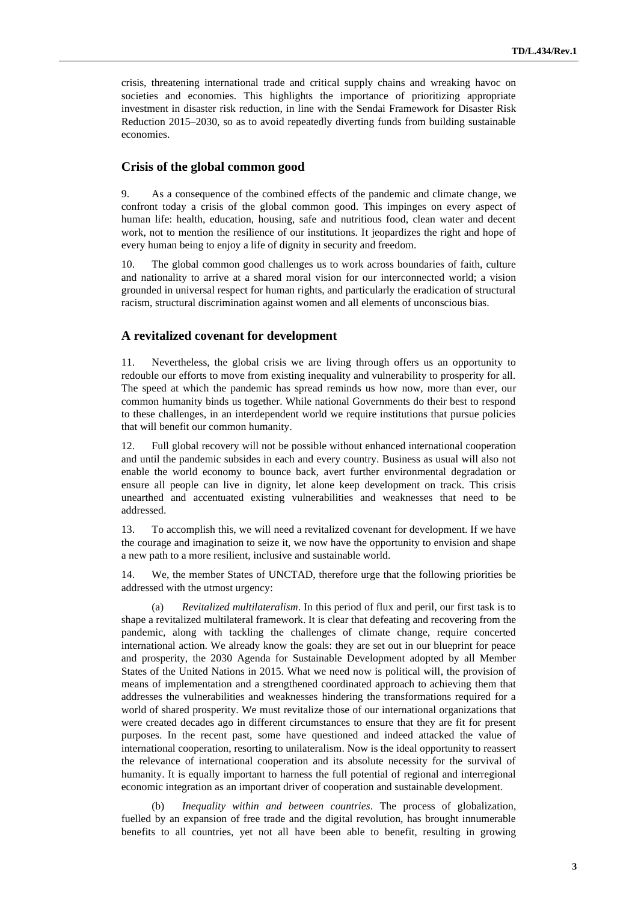crisis, threatening international trade and critical supply chains and wreaking havoc on societies and economies. This highlights the importance of prioritizing appropriate investment in disaster risk reduction, in line with the Sendai Framework for Disaster Risk Reduction 2015–2030, so as to avoid repeatedly diverting funds from building sustainable economies.

#### **Crisis of the global common good**

9. As a consequence of the combined effects of the pandemic and climate change, we confront today a crisis of the global common good. This impinges on every aspect of human life: health, education, housing, safe and nutritious food, clean water and decent work, not to mention the resilience of our institutions. It jeopardizes the right and hope of every human being to enjoy a life of dignity in security and freedom.

10. The global common good challenges us to work across boundaries of faith, culture and nationality to arrive at a shared moral vision for our interconnected world; a vision grounded in universal respect for human rights, and particularly the eradication of structural racism, structural discrimination against women and all elements of unconscious bias.

#### **A revitalized covenant for development**

11. Nevertheless, the global crisis we are living through offers us an opportunity to redouble our efforts to move from existing inequality and vulnerability to prosperity for all. The speed at which the pandemic has spread reminds us how now, more than ever, our common humanity binds us together. While national Governments do their best to respond to these challenges, in an interdependent world we require institutions that pursue policies that will benefit our common humanity.

12. Full global recovery will not be possible without enhanced international cooperation and until the pandemic subsides in each and every country. Business as usual will also not enable the world economy to bounce back, avert further environmental degradation or ensure all people can live in dignity, let alone keep development on track. This crisis unearthed and accentuated existing vulnerabilities and weaknesses that need to be addressed.

13. To accomplish this, we will need a revitalized covenant for development. If we have the courage and imagination to seize it, we now have the opportunity to envision and shape a new path to a more resilient, inclusive and sustainable world.

14. We, the member States of UNCTAD, therefore urge that the following priorities be addressed with the utmost urgency:

(a) *Revitalized multilateralism*. In this period of flux and peril, our first task is to shape a revitalized multilateral framework. It is clear that defeating and recovering from the pandemic, along with tackling the challenges of climate change, require concerted international action. We already know the goals: they are set out in our blueprint for peace and prosperity, the 2030 Agenda for Sustainable Development adopted by all Member States of the United Nations in 2015. What we need now is political will, the provision of means of implementation and a strengthened coordinated approach to achieving them that addresses the vulnerabilities and weaknesses hindering the transformations required for a world of shared prosperity. We must revitalize those of our international organizations that were created decades ago in different circumstances to ensure that they are fit for present purposes. In the recent past, some have questioned and indeed attacked the value of international cooperation, resorting to unilateralism. Now is the ideal opportunity to reassert the relevance of international cooperation and its absolute necessity for the survival of humanity. It is equally important to harness the full potential of regional and interregional economic integration as an important driver of cooperation and sustainable development.

(b) *Inequality within and between countries*. The process of globalization, fuelled by an expansion of free trade and the digital revolution, has brought innumerable benefits to all countries, yet not all have been able to benefit, resulting in growing

**3**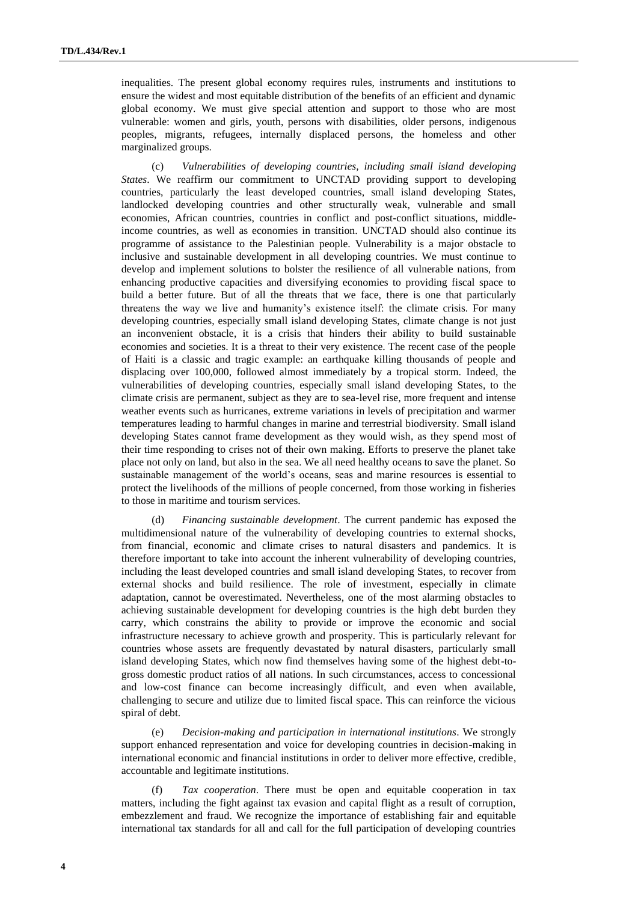inequalities. The present global economy requires rules, instruments and institutions to ensure the widest and most equitable distribution of the benefits of an efficient and dynamic global economy. We must give special attention and support to those who are most vulnerable: women and girls, youth, persons with disabilities, older persons, indigenous peoples, migrants, refugees, internally displaced persons, the homeless and other marginalized groups.

(c) *Vulnerabilities of developing countries, including small island developing States*. We reaffirm our commitment to UNCTAD providing support to developing countries, particularly the least developed countries, small island developing States, landlocked developing countries and other structurally weak, vulnerable and small economies, African countries, countries in conflict and post-conflict situations, middleincome countries, as well as economies in transition. UNCTAD should also continue its programme of assistance to the Palestinian people. Vulnerability is a major obstacle to inclusive and sustainable development in all developing countries. We must continue to develop and implement solutions to bolster the resilience of all vulnerable nations, from enhancing productive capacities and diversifying economies to providing fiscal space to build a better future. But of all the threats that we face, there is one that particularly threatens the way we live and humanity's existence itself: the climate crisis. For many developing countries, especially small island developing States, climate change is not just an inconvenient obstacle, it is a crisis that hinders their ability to build sustainable economies and societies. It is a threat to their very existence. The recent case of the people of Haiti is a classic and tragic example: an earthquake killing thousands of people and displacing over 100,000, followed almost immediately by a tropical storm. Indeed, the vulnerabilities of developing countries, especially small island developing States, to the climate crisis are permanent, subject as they are to sea-level rise, more frequent and intense weather events such as hurricanes, extreme variations in levels of precipitation and warmer temperatures leading to harmful changes in marine and terrestrial biodiversity. Small island developing States cannot frame development as they would wish, as they spend most of their time responding to crises not of their own making. Efforts to preserve the planet take place not only on land, but also in the sea. We all need healthy oceans to save the planet. So sustainable management of the world's oceans, seas and marine resources is essential to protect the livelihoods of the millions of people concerned, from those working in fisheries to those in maritime and tourism services.

(d) *Financing sustainable development*. The current pandemic has exposed the multidimensional nature of the vulnerability of developing countries to external shocks, from financial, economic and climate crises to natural disasters and pandemics. It is therefore important to take into account the inherent vulnerability of developing countries, including the least developed countries and small island developing States, to recover from external shocks and build resilience. The role of investment, especially in climate adaptation, cannot be overestimated. Nevertheless, one of the most alarming obstacles to achieving sustainable development for developing countries is the high debt burden they carry, which constrains the ability to provide or improve the economic and social infrastructure necessary to achieve growth and prosperity. This is particularly relevant for countries whose assets are frequently devastated by natural disasters, particularly small island developing States, which now find themselves having some of the highest debt-togross domestic product ratios of all nations. In such circumstances, access to concessional and low-cost finance can become increasingly difficult, and even when available, challenging to secure and utilize due to limited fiscal space. This can reinforce the vicious spiral of debt.

(e) *Decision-making and participation in international institutions*. We strongly support enhanced representation and voice for developing countries in decision-making in international economic and financial institutions in order to deliver more effective, credible, accountable and legitimate institutions.

Tax cooperation. There must be open and equitable cooperation in tax matters, including the fight against tax evasion and capital flight as a result of corruption, embezzlement and fraud. We recognize the importance of establishing fair and equitable international tax standards for all and call for the full participation of developing countries